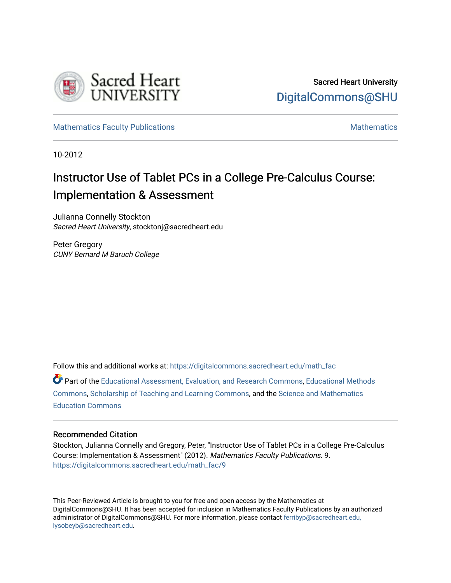

[Mathematics Faculty Publications](https://digitalcommons.sacredheart.edu/math_fac) [Mathematics](https://digitalcommons.sacredheart.edu/math) Mathematics Mathematics

10-2012

# Instructor Use of Tablet PCs in a College Pre-Calculus Course: Implementation & Assessment

Julianna Connelly Stockton Sacred Heart University, stocktonj@sacredheart.edu

Peter Gregory CUNY Bernard M Baruch College

Follow this and additional works at: [https://digitalcommons.sacredheart.edu/math\\_fac](https://digitalcommons.sacredheart.edu/math_fac?utm_source=digitalcommons.sacredheart.edu%2Fmath_fac%2F9&utm_medium=PDF&utm_campaign=PDFCoverPages) 

Part of the [Educational Assessment, Evaluation, and Research Commons](http://network.bepress.com/hgg/discipline/796?utm_source=digitalcommons.sacredheart.edu%2Fmath_fac%2F9&utm_medium=PDF&utm_campaign=PDFCoverPages), [Educational Methods](http://network.bepress.com/hgg/discipline/1227?utm_source=digitalcommons.sacredheart.edu%2Fmath_fac%2F9&utm_medium=PDF&utm_campaign=PDFCoverPages)  [Commons](http://network.bepress.com/hgg/discipline/1227?utm_source=digitalcommons.sacredheart.edu%2Fmath_fac%2F9&utm_medium=PDF&utm_campaign=PDFCoverPages), [Scholarship of Teaching and Learning Commons](http://network.bepress.com/hgg/discipline/1328?utm_source=digitalcommons.sacredheart.edu%2Fmath_fac%2F9&utm_medium=PDF&utm_campaign=PDFCoverPages), and the [Science and Mathematics](http://network.bepress.com/hgg/discipline/800?utm_source=digitalcommons.sacredheart.edu%2Fmath_fac%2F9&utm_medium=PDF&utm_campaign=PDFCoverPages) [Education Commons](http://network.bepress.com/hgg/discipline/800?utm_source=digitalcommons.sacredheart.edu%2Fmath_fac%2F9&utm_medium=PDF&utm_campaign=PDFCoverPages) 

# Recommended Citation

Stockton, Julianna Connelly and Gregory, Peter, "Instructor Use of Tablet PCs in a College Pre-Calculus Course: Implementation & Assessment" (2012). Mathematics Faculty Publications. 9. [https://digitalcommons.sacredheart.edu/math\\_fac/9](https://digitalcommons.sacredheart.edu/math_fac/9?utm_source=digitalcommons.sacredheart.edu%2Fmath_fac%2F9&utm_medium=PDF&utm_campaign=PDFCoverPages) 

This Peer-Reviewed Article is brought to you for free and open access by the Mathematics at DigitalCommons@SHU. It has been accepted for inclusion in Mathematics Faculty Publications by an authorized administrator of DigitalCommons@SHU. For more information, please contact [ferribyp@sacredheart.edu,](mailto:ferribyp@sacredheart.edu,%20lysobeyb@sacredheart.edu) [lysobeyb@sacredheart.edu](mailto:ferribyp@sacredheart.edu,%20lysobeyb@sacredheart.edu).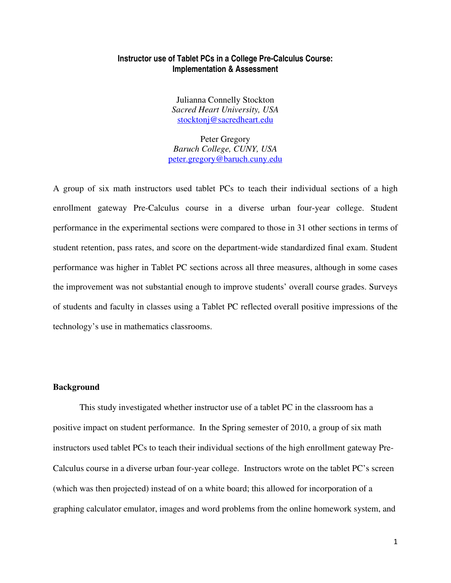# **Instructor use of Tablet PCs in a College Pre-Calculus Course: Implementation & Assessment**

Julianna Connelly Stockton *Sacred Heart University, USA*  stocktonj@sacredheart.edu

Peter Gregory *Baruch College, CUNY, USA*  peter.gregory@baruch.cuny.edu

A group of six math instructors used tablet PCs to teach their individual sections of a high enrollment gateway Pre-Calculus course in a diverse urban four-year college. Student performance in the experimental sections were compared to those in 31 other sections in terms of student retention, pass rates, and score on the department-wide standardized final exam. Student performance was higher in Tablet PC sections across all three measures, although in some cases the improvement was not substantial enough to improve students' overall course grades. Surveys of students and faculty in classes using a Tablet PC reflected overall positive impressions of the technology's use in mathematics classrooms.

## **Background**

This study investigated whether instructor use of a tablet PC in the classroom has a positive impact on student performance. In the Spring semester of 2010, a group of six math instructors used tablet PCs to teach their individual sections of the high enrollment gateway Pre-Calculus course in a diverse urban four-year college. Instructors wrote on the tablet PC's screen (which was then projected) instead of on a white board; this allowed for incorporation of a graphing calculator emulator, images and word problems from the online homework system, and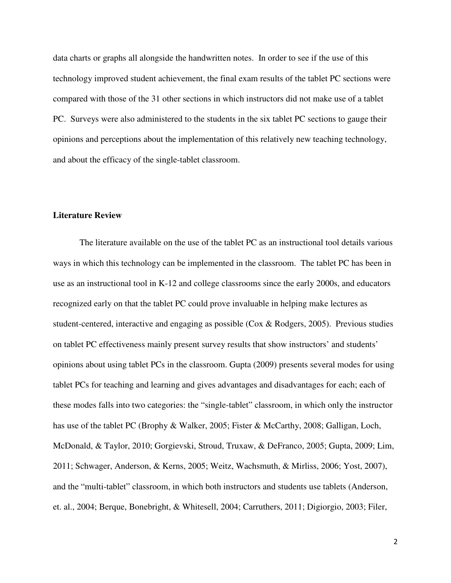data charts or graphs all alongside the handwritten notes. In order to see if the use of this technology improved student achievement, the final exam results of the tablet PC sections were compared with those of the 31 other sections in which instructors did not make use of a tablet PC. Surveys were also administered to the students in the six tablet PC sections to gauge their opinions and perceptions about the implementation of this relatively new teaching technology, and about the efficacy of the single-tablet classroom.

## **Literature Review**

The literature available on the use of the tablet PC as an instructional tool details various ways in which this technology can be implemented in the classroom. The tablet PC has been in use as an instructional tool in K-12 and college classrooms since the early 2000s, and educators recognized early on that the tablet PC could prove invaluable in helping make lectures as student-centered, interactive and engaging as possible (Cox & Rodgers, 2005). Previous studies on tablet PC effectiveness mainly present survey results that show instructors' and students' opinions about using tablet PCs in the classroom. Gupta (2009) presents several modes for using tablet PCs for teaching and learning and gives advantages and disadvantages for each; each of these modes falls into two categories: the "single-tablet" classroom, in which only the instructor has use of the tablet PC (Brophy & Walker, 2005; Fister & McCarthy, 2008; Galligan, Loch, McDonald, & Taylor, 2010; Gorgievski, Stroud, Truxaw, & DeFranco, 2005; Gupta, 2009; Lim, 2011; Schwager, Anderson, & Kerns, 2005; Weitz, Wachsmuth, & Mirliss, 2006; Yost, 2007), and the "multi-tablet" classroom, in which both instructors and students use tablets (Anderson, et. al., 2004; Berque, Bonebright, & Whitesell, 2004; Carruthers, 2011; Digiorgio, 2003; Filer,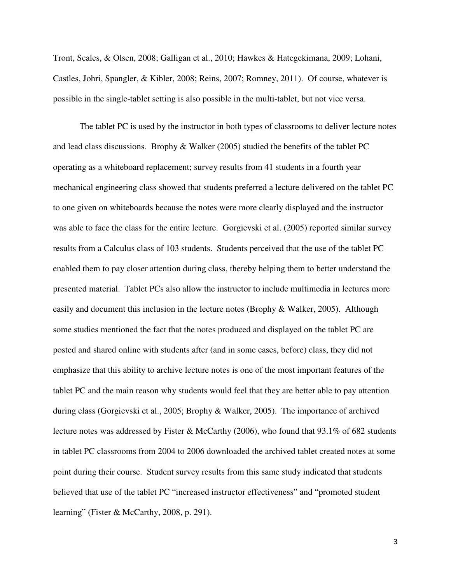Tront, Scales, & Olsen, 2008; Galligan et al., 2010; Hawkes & Hategekimana, 2009; Lohani, Castles, Johri, Spangler, & Kibler, 2008; Reins, 2007; Romney, 2011). Of course, whatever is possible in the single-tablet setting is also possible in the multi-tablet, but not vice versa.

 The tablet PC is used by the instructor in both types of classrooms to deliver lecture notes and lead class discussions. Brophy & Walker (2005) studied the benefits of the tablet PC operating as a whiteboard replacement; survey results from 41 students in a fourth year mechanical engineering class showed that students preferred a lecture delivered on the tablet PC to one given on whiteboards because the notes were more clearly displayed and the instructor was able to face the class for the entire lecture. Gorgievski et al. (2005) reported similar survey results from a Calculus class of 103 students. Students perceived that the use of the tablet PC enabled them to pay closer attention during class, thereby helping them to better understand the presented material. Tablet PCs also allow the instructor to include multimedia in lectures more easily and document this inclusion in the lecture notes (Brophy & Walker, 2005). Although some studies mentioned the fact that the notes produced and displayed on the tablet PC are posted and shared online with students after (and in some cases, before) class, they did not emphasize that this ability to archive lecture notes is one of the most important features of the tablet PC and the main reason why students would feel that they are better able to pay attention during class (Gorgievski et al., 2005; Brophy & Walker, 2005). The importance of archived lecture notes was addressed by Fister & McCarthy (2006), who found that 93.1% of 682 students in tablet PC classrooms from 2004 to 2006 downloaded the archived tablet created notes at some point during their course. Student survey results from this same study indicated that students believed that use of the tablet PC "increased instructor effectiveness" and "promoted student learning" (Fister & McCarthy, 2008, p. 291).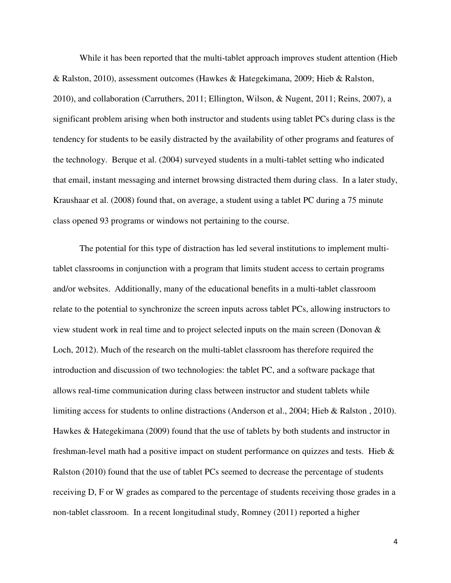While it has been reported that the multi-tablet approach improves student attention (Hieb & Ralston, 2010), assessment outcomes (Hawkes & Hategekimana, 2009; Hieb & Ralston, 2010), and collaboration (Carruthers, 2011; Ellington, Wilson, & Nugent, 2011; Reins, 2007), a significant problem arising when both instructor and students using tablet PCs during class is the tendency for students to be easily distracted by the availability of other programs and features of the technology. Berque et al. (2004) surveyed students in a multi-tablet setting who indicated that email, instant messaging and internet browsing distracted them during class. In a later study, Kraushaar et al. (2008) found that, on average, a student using a tablet PC during a 75 minute class opened 93 programs or windows not pertaining to the course.

The potential for this type of distraction has led several institutions to implement multitablet classrooms in conjunction with a program that limits student access to certain programs and/or websites. Additionally, many of the educational benefits in a multi-tablet classroom relate to the potential to synchronize the screen inputs across tablet PCs, allowing instructors to view student work in real time and to project selected inputs on the main screen (Donovan & Loch, 2012). Much of the research on the multi-tablet classroom has therefore required the introduction and discussion of two technologies: the tablet PC, and a software package that allows real-time communication during class between instructor and student tablets while limiting access for students to online distractions (Anderson et al., 2004; Hieb & Ralston , 2010). Hawkes & Hategekimana (2009) found that the use of tablets by both students and instructor in freshman-level math had a positive impact on student performance on quizzes and tests. Hieb & Ralston (2010) found that the use of tablet PCs seemed to decrease the percentage of students receiving D, F or W grades as compared to the percentage of students receiving those grades in a non-tablet classroom. In a recent longitudinal study, Romney (2011) reported a higher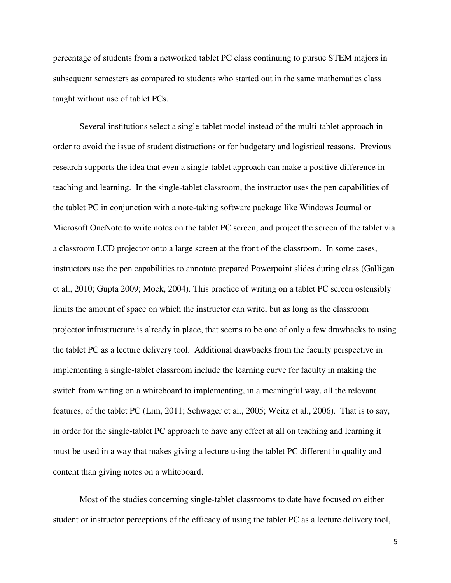percentage of students from a networked tablet PC class continuing to pursue STEM majors in subsequent semesters as compared to students who started out in the same mathematics class taught without use of tablet PCs.

 Several institutions select a single-tablet model instead of the multi-tablet approach in order to avoid the issue of student distractions or for budgetary and logistical reasons. Previous research supports the idea that even a single-tablet approach can make a positive difference in teaching and learning. In the single-tablet classroom, the instructor uses the pen capabilities of the tablet PC in conjunction with a note-taking software package like Windows Journal or Microsoft OneNote to write notes on the tablet PC screen, and project the screen of the tablet via a classroom LCD projector onto a large screen at the front of the classroom. In some cases, instructors use the pen capabilities to annotate prepared Powerpoint slides during class (Galligan et al., 2010; Gupta 2009; Mock, 2004). This practice of writing on a tablet PC screen ostensibly limits the amount of space on which the instructor can write, but as long as the classroom projector infrastructure is already in place, that seems to be one of only a few drawbacks to using the tablet PC as a lecture delivery tool. Additional drawbacks from the faculty perspective in implementing a single-tablet classroom include the learning curve for faculty in making the switch from writing on a whiteboard to implementing, in a meaningful way, all the relevant features, of the tablet PC (Lim, 2011; Schwager et al., 2005; Weitz et al., 2006). That is to say, in order for the single-tablet PC approach to have any effect at all on teaching and learning it must be used in a way that makes giving a lecture using the tablet PC different in quality and content than giving notes on a whiteboard.

Most of the studies concerning single-tablet classrooms to date have focused on either student or instructor perceptions of the efficacy of using the tablet PC as a lecture delivery tool,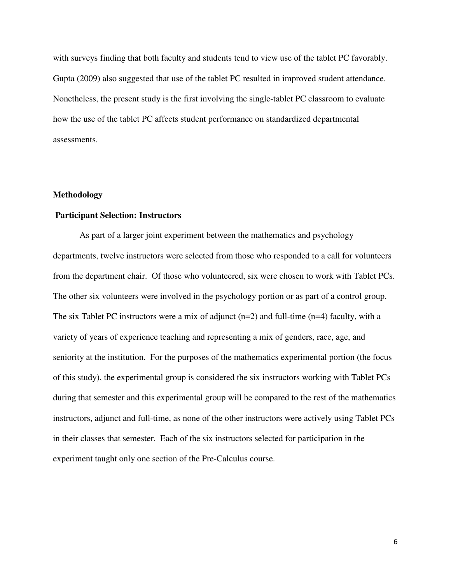with surveys finding that both faculty and students tend to view use of the tablet PC favorably. Gupta (2009) also suggested that use of the tablet PC resulted in improved student attendance. Nonetheless, the present study is the first involving the single-tablet PC classroom to evaluate how the use of the tablet PC affects student performance on standardized departmental assessments.

# **Methodology**

# **Participant Selection: Instructors**

As part of a larger joint experiment between the mathematics and psychology departments, twelve instructors were selected from those who responded to a call for volunteers from the department chair. Of those who volunteered, six were chosen to work with Tablet PCs. The other six volunteers were involved in the psychology portion or as part of a control group. The six Tablet PC instructors were a mix of adjunct  $(n=2)$  and full-time  $(n=4)$  faculty, with a variety of years of experience teaching and representing a mix of genders, race, age, and seniority at the institution. For the purposes of the mathematics experimental portion (the focus of this study), the experimental group is considered the six instructors working with Tablet PCs during that semester and this experimental group will be compared to the rest of the mathematics instructors, adjunct and full-time, as none of the other instructors were actively using Tablet PCs in their classes that semester. Each of the six instructors selected for participation in the experiment taught only one section of the Pre-Calculus course.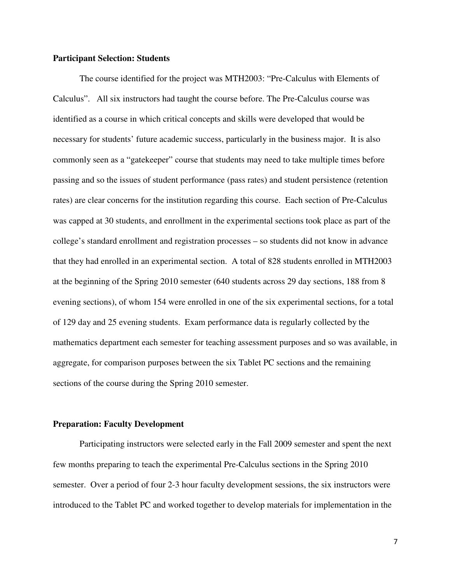## **Participant Selection: Students**

The course identified for the project was MTH2003: "Pre-Calculus with Elements of Calculus". All six instructors had taught the course before. The Pre-Calculus course was identified as a course in which critical concepts and skills were developed that would be necessary for students' future academic success, particularly in the business major. It is also commonly seen as a "gatekeeper" course that students may need to take multiple times before passing and so the issues of student performance (pass rates) and student persistence (retention rates) are clear concerns for the institution regarding this course. Each section of Pre-Calculus was capped at 30 students, and enrollment in the experimental sections took place as part of the college's standard enrollment and registration processes – so students did not know in advance that they had enrolled in an experimental section. A total of 828 students enrolled in MTH2003 at the beginning of the Spring 2010 semester (640 students across 29 day sections, 188 from 8 evening sections), of whom 154 were enrolled in one of the six experimental sections, for a total of 129 day and 25 evening students. Exam performance data is regularly collected by the mathematics department each semester for teaching assessment purposes and so was available, in aggregate, for comparison purposes between the six Tablet PC sections and the remaining sections of the course during the Spring 2010 semester.

#### **Preparation: Faculty Development**

Participating instructors were selected early in the Fall 2009 semester and spent the next few months preparing to teach the experimental Pre-Calculus sections in the Spring 2010 semester. Over a period of four 2-3 hour faculty development sessions, the six instructors were introduced to the Tablet PC and worked together to develop materials for implementation in the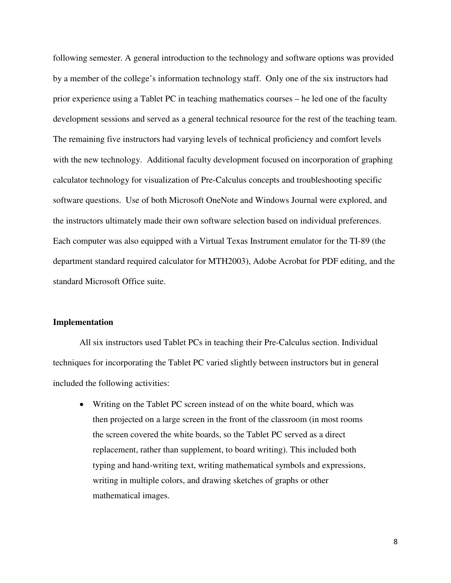following semester. A general introduction to the technology and software options was provided by a member of the college's information technology staff. Only one of the six instructors had prior experience using a Tablet PC in teaching mathematics courses – he led one of the faculty development sessions and served as a general technical resource for the rest of the teaching team. The remaining five instructors had varying levels of technical proficiency and comfort levels with the new technology. Additional faculty development focused on incorporation of graphing calculator technology for visualization of Pre-Calculus concepts and troubleshooting specific software questions. Use of both Microsoft OneNote and Windows Journal were explored, and the instructors ultimately made their own software selection based on individual preferences. Each computer was also equipped with a Virtual Texas Instrument emulator for the TI-89 (the department standard required calculator for MTH2003), Adobe Acrobat for PDF editing, and the standard Microsoft Office suite.

#### **Implementation**

All six instructors used Tablet PCs in teaching their Pre-Calculus section. Individual techniques for incorporating the Tablet PC varied slightly between instructors but in general included the following activities:

• Writing on the Tablet PC screen instead of on the white board, which was then projected on a large screen in the front of the classroom (in most rooms the screen covered the white boards, so the Tablet PC served as a direct replacement, rather than supplement, to board writing). This included both typing and hand-writing text, writing mathematical symbols and expressions, writing in multiple colors, and drawing sketches of graphs or other mathematical images.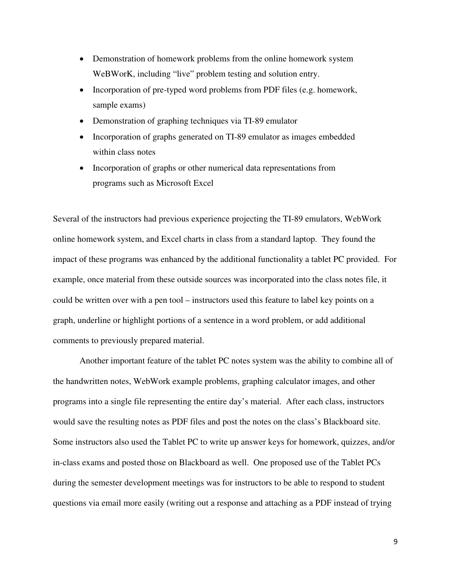- Demonstration of homework problems from the online homework system WeBWorK, including "live" problem testing and solution entry.
- Incorporation of pre-typed word problems from PDF files (e.g. homework, sample exams)
- Demonstration of graphing techniques via TI-89 emulator
- Incorporation of graphs generated on TI-89 emulator as images embedded within class notes
- Incorporation of graphs or other numerical data representations from programs such as Microsoft Excel

Several of the instructors had previous experience projecting the TI-89 emulators, WebWork online homework system, and Excel charts in class from a standard laptop. They found the impact of these programs was enhanced by the additional functionality a tablet PC provided. For example, once material from these outside sources was incorporated into the class notes file, it could be written over with a pen tool – instructors used this feature to label key points on a graph, underline or highlight portions of a sentence in a word problem, or add additional comments to previously prepared material.

Another important feature of the tablet PC notes system was the ability to combine all of the handwritten notes, WebWork example problems, graphing calculator images, and other programs into a single file representing the entire day's material. After each class, instructors would save the resulting notes as PDF files and post the notes on the class's Blackboard site. Some instructors also used the Tablet PC to write up answer keys for homework, quizzes, and/or in-class exams and posted those on Blackboard as well. One proposed use of the Tablet PCs during the semester development meetings was for instructors to be able to respond to student questions via email more easily (writing out a response and attaching as a PDF instead of trying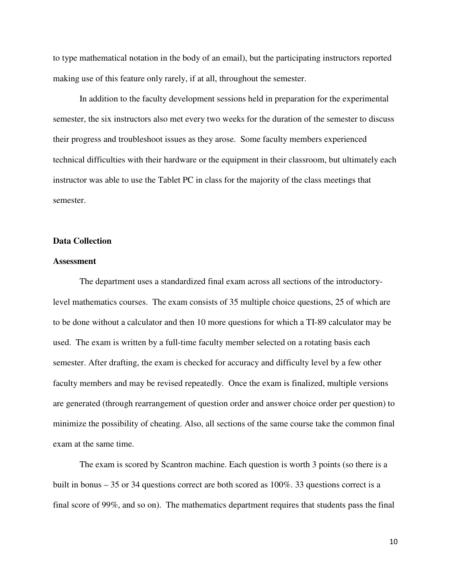to type mathematical notation in the body of an email), but the participating instructors reported making use of this feature only rarely, if at all, throughout the semester.

In addition to the faculty development sessions held in preparation for the experimental semester, the six instructors also met every two weeks for the duration of the semester to discuss their progress and troubleshoot issues as they arose. Some faculty members experienced technical difficulties with their hardware or the equipment in their classroom, but ultimately each instructor was able to use the Tablet PC in class for the majority of the class meetings that semester.

# **Data Collection**

# **Assessment**

The department uses a standardized final exam across all sections of the introductorylevel mathematics courses. The exam consists of 35 multiple choice questions, 25 of which are to be done without a calculator and then 10 more questions for which a TI-89 calculator may be used. The exam is written by a full-time faculty member selected on a rotating basis each semester. After drafting, the exam is checked for accuracy and difficulty level by a few other faculty members and may be revised repeatedly. Once the exam is finalized, multiple versions are generated (through rearrangement of question order and answer choice order per question) to minimize the possibility of cheating. Also, all sections of the same course take the common final exam at the same time.

The exam is scored by Scantron machine. Each question is worth 3 points (so there is a built in bonus – 35 or 34 questions correct are both scored as 100%. 33 questions correct is a final score of 99%, and so on). The mathematics department requires that students pass the final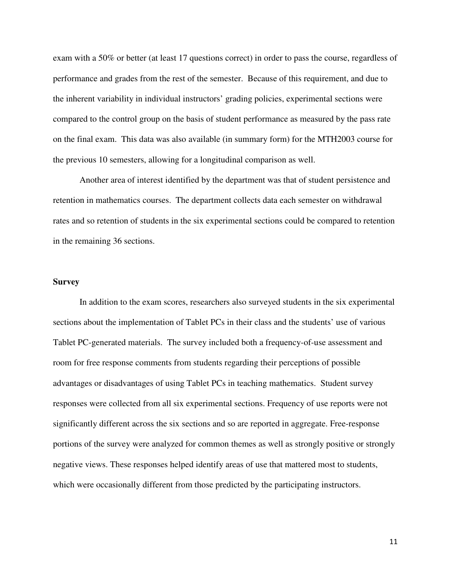exam with a 50% or better (at least 17 questions correct) in order to pass the course, regardless of performance and grades from the rest of the semester. Because of this requirement, and due to the inherent variability in individual instructors' grading policies, experimental sections were compared to the control group on the basis of student performance as measured by the pass rate on the final exam. This data was also available (in summary form) for the MTH2003 course for the previous 10 semesters, allowing for a longitudinal comparison as well.

Another area of interest identified by the department was that of student persistence and retention in mathematics courses. The department collects data each semester on withdrawal rates and so retention of students in the six experimental sections could be compared to retention in the remaining 36 sections.

# **Survey**

In addition to the exam scores, researchers also surveyed students in the six experimental sections about the implementation of Tablet PCs in their class and the students' use of various Tablet PC-generated materials. The survey included both a frequency-of-use assessment and room for free response comments from students regarding their perceptions of possible advantages or disadvantages of using Tablet PCs in teaching mathematics. Student survey responses were collected from all six experimental sections. Frequency of use reports were not significantly different across the six sections and so are reported in aggregate. Free-response portions of the survey were analyzed for common themes as well as strongly positive or strongly negative views. These responses helped identify areas of use that mattered most to students, which were occasionally different from those predicted by the participating instructors.

11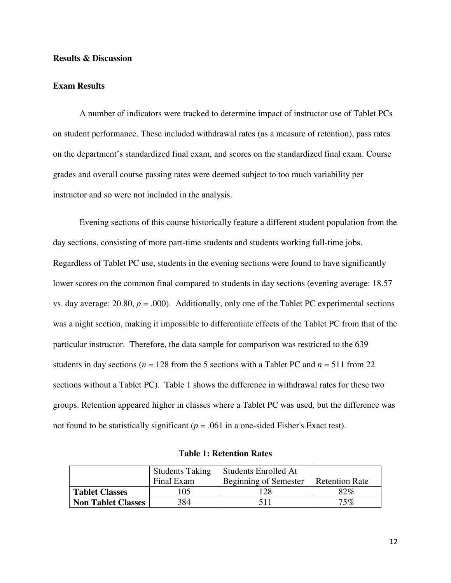# **Results & Discussion**

## **Exam Results**

A number of indicators were tracked to determine impact of instructor use of Tablet PCs on student performance. These included withdrawal rates (as a measure of retention), pass rates on the department's standardized final exam, and scores on the standardized final exam. Course grades and overall course passing rates were deemed subject to too much variability per instructor and so were not included in the analysis.

Evening sections of this course historically feature a different student population from the day sections, consisting of more part-time students and students working full-time jobs. Regardless of Tablet PC use, students in the evening sections were found to have significantly lower scores on the common final compared to students in day sections (evening average: 18.57 vs. day average:  $20.80$ ,  $p = .000$ ). Additionally, only one of the Tablet PC experimental sections was a night section, making it impossible to differentiate effects of the Tablet PC from that of the particular instructor. Therefore, the data sample for comparison was restricted to the 639 students in day sections ( $n = 128$  from the 5 sections with a Tablet PC and  $n = 511$  from 22 sections without a Tablet PC). Table 1 shows the difference in withdrawal rates for these two groups. Retention appeared higher in classes where a Tablet PC was used, but the difference was not found to be statistically significant ( $p = .061$  in a one-sided Fisher's Exact test).

|                           | <b>Students Taking</b> | <b>Students Enrolled At</b> |                       |
|---------------------------|------------------------|-----------------------------|-----------------------|
|                           | Final Exam             | Beginning of Semester       | <b>Retention Rate</b> |
| <b>Tablet Classes</b>     | .05                    | 128                         | 82%                   |
| <b>Non Tablet Classes</b> | 384                    | 511                         | $75\%$                |

**Table 1: Retention Rates**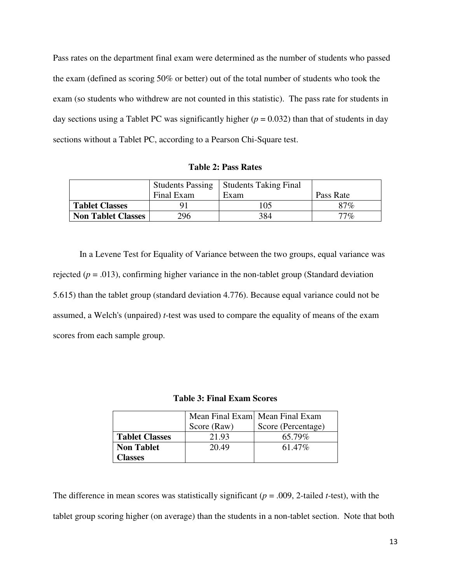Pass rates on the department final exam were determined as the number of students who passed the exam (defined as scoring 50% or better) out of the total number of students who took the exam (so students who withdrew are not counted in this statistic). The pass rate for students in day sections using a Tablet PC was significantly higher  $(p = 0.032)$  than that of students in day sections without a Tablet PC, according to a Pearson Chi-Square test.

**Table 2: Pass Rates** 

|                           | <b>Students Passing</b> | <b>Students Taking Final</b> |           |
|---------------------------|-------------------------|------------------------------|-----------|
|                           | Final Exam              | Exam                         | Pass Rate |
| <b>Tablet Classes</b>     |                         | 105                          | 87%       |
| <b>Non Tablet Classes</b> | 296                     | 384                          | $77\%$    |

In a Levene Test for Equality of Variance between the two groups, equal variance was rejected ( $p = .013$ ), confirming higher variance in the non-tablet group (Standard deviation 5.615) than the tablet group (standard deviation 4.776). Because equal variance could not be assumed, a Welch's (unpaired) *t*-test was used to compare the equality of means of the exam scores from each sample group.

**Table 3: Final Exam Scores** 

|                       |             | Mean Final Exam Mean Final Exam |
|-----------------------|-------------|---------------------------------|
|                       | Score (Raw) | Score (Percentage)              |
| <b>Tablet Classes</b> | 21.93       | 65.79%                          |
| <b>Non Tablet</b>     | 20.49       | 61.47\%                         |
| <b>Classes</b>        |             |                                 |

The difference in mean scores was statistically significant (*p* = .009, 2-tailed *t-*test), with the tablet group scoring higher (on average) than the students in a non-tablet section. Note that both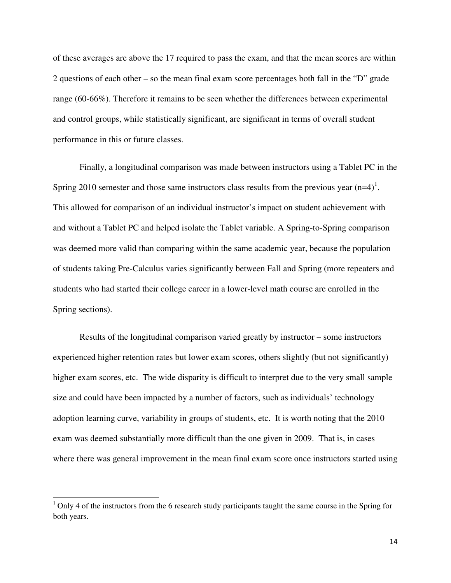of these averages are above the 17 required to pass the exam, and that the mean scores are within 2 questions of each other – so the mean final exam score percentages both fall in the "D" grade range (60-66%). Therefore it remains to be seen whether the differences between experimental and control groups, while statistically significant, are significant in terms of overall student performance in this or future classes.

 Finally, a longitudinal comparison was made between instructors using a Tablet PC in the Spring 2010 semester and those same instructors class results from the previous year  $(n=4)^1$ . This allowed for comparison of an individual instructor's impact on student achievement with and without a Tablet PC and helped isolate the Tablet variable. A Spring-to-Spring comparison was deemed more valid than comparing within the same academic year, because the population of students taking Pre-Calculus varies significantly between Fall and Spring (more repeaters and students who had started their college career in a lower-level math course are enrolled in the Spring sections).

Results of the longitudinal comparison varied greatly by instructor – some instructors experienced higher retention rates but lower exam scores, others slightly (but not significantly) higher exam scores, etc. The wide disparity is difficult to interpret due to the very small sample size and could have been impacted by a number of factors, such as individuals' technology adoption learning curve, variability in groups of students, etc. It is worth noting that the 2010 exam was deemed substantially more difficult than the one given in 2009. That is, in cases where there was general improvement in the mean final exam score once instructors started using

-

 $1$  Only 4 of the instructors from the 6 research study participants taught the same course in the Spring for both years.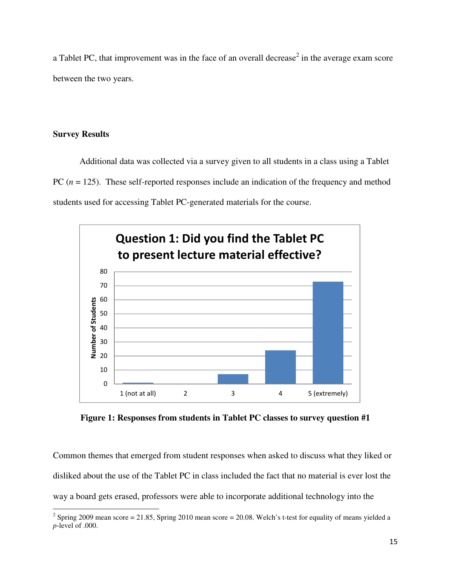a Tablet PC, that improvement was in the face of an overall decrease<sup>2</sup> in the average exam score between the two years.

# **Survey Results**

Additional data was collected via a survey given to all students in a class using a Tablet PC ( $n = 125$ ). These self-reported responses include an indication of the frequency and method students used for accessing Tablet PC-generated materials for the course.



**Figure 1: Responses from students in Tablet PC classes to survey question #1** 

Common themes that emerged from student responses when asked to discuss what they liked or disliked about the use of the Tablet PC in class included the fact that no material is ever lost the way a board gets erased, professors were able to incorporate additional technology into the

 $\frac{2}{3}$  Spring 2009 mean score = 21.85, Spring 2010 mean score = 20.08. Welch's t-test for equality of means yielded a *p*-level of .000.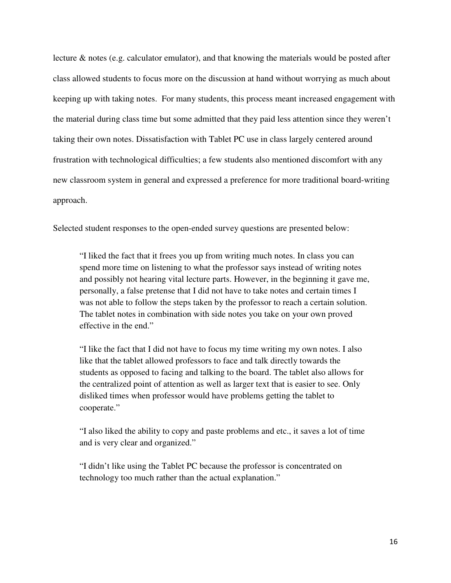lecture & notes (e.g. calculator emulator), and that knowing the materials would be posted after class allowed students to focus more on the discussion at hand without worrying as much about keeping up with taking notes. For many students, this process meant increased engagement with the material during class time but some admitted that they paid less attention since they weren't taking their own notes. Dissatisfaction with Tablet PC use in class largely centered around frustration with technological difficulties; a few students also mentioned discomfort with any new classroom system in general and expressed a preference for more traditional board-writing approach.

Selected student responses to the open-ended survey questions are presented below:

"I liked the fact that it frees you up from writing much notes. In class you can spend more time on listening to what the professor says instead of writing notes and possibly not hearing vital lecture parts. However, in the beginning it gave me, personally, a false pretense that I did not have to take notes and certain times I was not able to follow the steps taken by the professor to reach a certain solution. The tablet notes in combination with side notes you take on your own proved effective in the end."

"I like the fact that I did not have to focus my time writing my own notes. I also like that the tablet allowed professors to face and talk directly towards the students as opposed to facing and talking to the board. The tablet also allows for the centralized point of attention as well as larger text that is easier to see. Only disliked times when professor would have problems getting the tablet to cooperate."

"I also liked the ability to copy and paste problems and etc., it saves a lot of time and is very clear and organized."

"I didn't like using the Tablet PC because the professor is concentrated on technology too much rather than the actual explanation."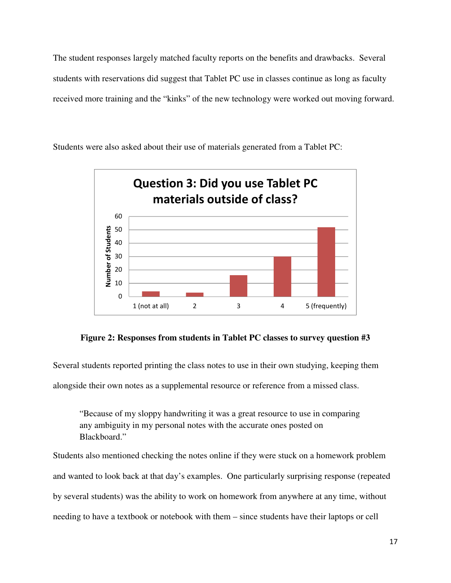The student responses largely matched faculty reports on the benefits and drawbacks. Several students with reservations did suggest that Tablet PC use in classes continue as long as faculty received more training and the "kinks" of the new technology were worked out moving forward.

Students were also asked about their use of materials generated from a Tablet PC:



**Figure 2: Responses from students in Tablet PC classes to survey question #3**

Several students reported printing the class notes to use in their own studying, keeping them alongside their own notes as a supplemental resource or reference from a missed class.

"Because of my sloppy handwriting it was a great resource to use in comparing any ambiguity in my personal notes with the accurate ones posted on Blackboard."

Students also mentioned checking the notes online if they were stuck on a homework problem and wanted to look back at that day's examples. One particularly surprising response (repeated by several students) was the ability to work on homework from anywhere at any time, without needing to have a textbook or notebook with them – since students have their laptops or cell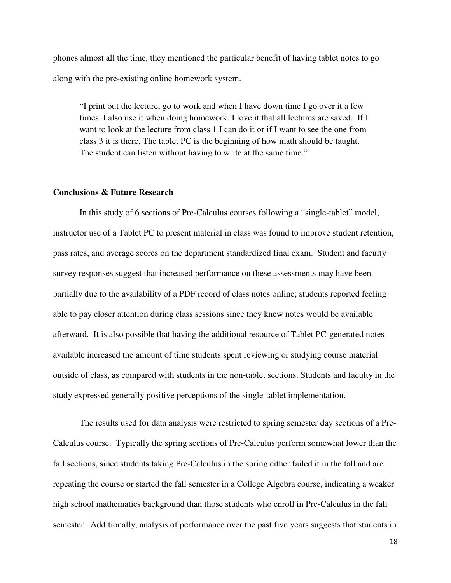phones almost all the time, they mentioned the particular benefit of having tablet notes to go along with the pre-existing online homework system.

"I print out the lecture, go to work and when I have down time I go over it a few times. I also use it when doing homework. I love it that all lectures are saved. If I want to look at the lecture from class 1 I can do it or if I want to see the one from class 3 it is there. The tablet PC is the beginning of how math should be taught. The student can listen without having to write at the same time."

# **Conclusions & Future Research**

In this study of 6 sections of Pre-Calculus courses following a "single-tablet" model, instructor use of a Tablet PC to present material in class was found to improve student retention, pass rates, and average scores on the department standardized final exam. Student and faculty survey responses suggest that increased performance on these assessments may have been partially due to the availability of a PDF record of class notes online; students reported feeling able to pay closer attention during class sessions since they knew notes would be available afterward. It is also possible that having the additional resource of Tablet PC-generated notes available increased the amount of time students spent reviewing or studying course material outside of class, as compared with students in the non-tablet sections. Students and faculty in the study expressed generally positive perceptions of the single-tablet implementation.

The results used for data analysis were restricted to spring semester day sections of a Pre-Calculus course. Typically the spring sections of Pre-Calculus perform somewhat lower than the fall sections, since students taking Pre-Calculus in the spring either failed it in the fall and are repeating the course or started the fall semester in a College Algebra course, indicating a weaker high school mathematics background than those students who enroll in Pre-Calculus in the fall semester. Additionally, analysis of performance over the past five years suggests that students in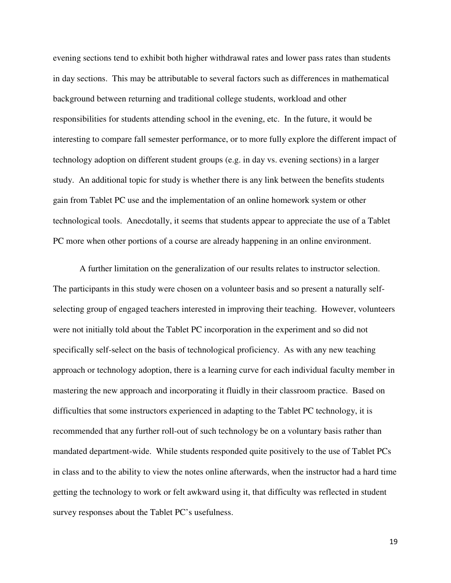evening sections tend to exhibit both higher withdrawal rates and lower pass rates than students in day sections. This may be attributable to several factors such as differences in mathematical background between returning and traditional college students, workload and other responsibilities for students attending school in the evening, etc. In the future, it would be interesting to compare fall semester performance, or to more fully explore the different impact of technology adoption on different student groups (e.g. in day vs. evening sections) in a larger study. An additional topic for study is whether there is any link between the benefits students gain from Tablet PC use and the implementation of an online homework system or other technological tools. Anecdotally, it seems that students appear to appreciate the use of a Tablet PC more when other portions of a course are already happening in an online environment.

A further limitation on the generalization of our results relates to instructor selection. The participants in this study were chosen on a volunteer basis and so present a naturally selfselecting group of engaged teachers interested in improving their teaching. However, volunteers were not initially told about the Tablet PC incorporation in the experiment and so did not specifically self-select on the basis of technological proficiency. As with any new teaching approach or technology adoption, there is a learning curve for each individual faculty member in mastering the new approach and incorporating it fluidly in their classroom practice. Based on difficulties that some instructors experienced in adapting to the Tablet PC technology, it is recommended that any further roll-out of such technology be on a voluntary basis rather than mandated department-wide. While students responded quite positively to the use of Tablet PCs in class and to the ability to view the notes online afterwards, when the instructor had a hard time getting the technology to work or felt awkward using it, that difficulty was reflected in student survey responses about the Tablet PC's usefulness.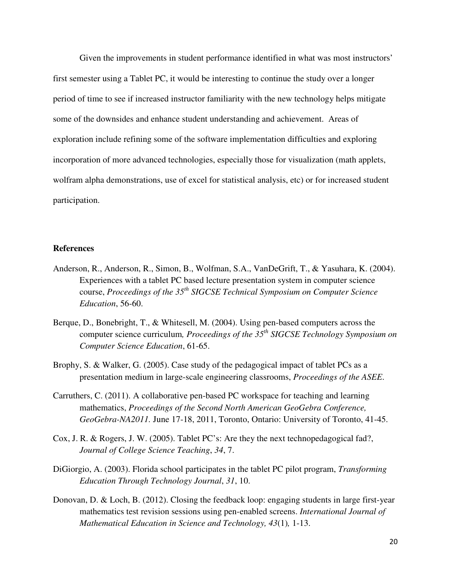Given the improvements in student performance identified in what was most instructors' first semester using a Tablet PC, it would be interesting to continue the study over a longer period of time to see if increased instructor familiarity with the new technology helps mitigate some of the downsides and enhance student understanding and achievement. Areas of exploration include refining some of the software implementation difficulties and exploring incorporation of more advanced technologies, especially those for visualization (math applets, wolfram alpha demonstrations, use of excel for statistical analysis, etc) or for increased student participation.

# **References**

- Anderson, R., Anderson, R., Simon, B., Wolfman, S.A., VanDeGrift, T., & Yasuhara, K. (2004). Experiences with a tablet PC based lecture presentation system in computer science course, *Proceedings of the 35th SIGCSE Technical Symposium on Computer Science Education*, 56-60.
- Berque, D., Bonebright, T., & Whitesell, M. (2004). Using pen-based computers across the computer science curriculum*, Proceedings of the 35th SIGCSE Technology Symposium on Computer Science Education*, 61-65.
- Brophy, S. & Walker, G. (2005). Case study of the pedagogical impact of tablet PCs as a presentation medium in large-scale engineering classrooms, *Proceedings of the ASEE*.
- Carruthers, C. (2011). A collaborative pen-based PC workspace for teaching and learning mathematics, *Proceedings of the Second North American GeoGebra Conference, GeoGebra-NA2011.* June 17-18, 2011, Toronto, Ontario: University of Toronto, 41-45.
- Cox, J. R. & Rogers, J. W. (2005). Tablet PC's: Are they the next technopedagogical fad?, *Journal of College Science Teaching*, *34*, 7.
- DiGiorgio, A. (2003). Florida school participates in the tablet PC pilot program, *Transforming Education Through Technology Journal*, *31*, 10.
- Donovan, D. & Loch, B. (2012). Closing the feedback loop: engaging students in large first-year mathematics test revision sessions using pen-enabled screens. *International Journal of Mathematical Education in Science and Technology, 43*(1)*,* 1-13.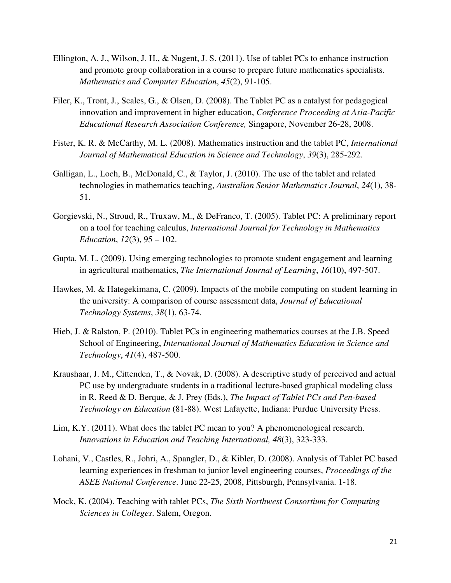- Ellington, A. J., Wilson, J. H., & Nugent, J. S. (2011). Use of tablet PCs to enhance instruction and promote group collaboration in a course to prepare future mathematics specialists. *Mathematics and Computer Education*, *45*(2), 91-105.
- Filer, K., Tront, J., Scales, G., & Olsen, D. (2008). The Tablet PC as a catalyst for pedagogical innovation and improvement in higher education, *Conference Proceeding at Asia-Pacific Educational Research Association Conference,* Singapore, November 26-28, 2008.
- Fister, K. R. & McCarthy, M. L. (2008). Mathematics instruction and the tablet PC, *International Journal of Mathematical Education in Science and Technology*, *39*(3), 285-292.
- Galligan, L., Loch, B., McDonald, C., & Taylor, J. (2010). The use of the tablet and related technologies in mathematics teaching, *Australian Senior Mathematics Journal*, *24*(1), 38- 51.
- Gorgievski, N., Stroud, R., Truxaw, M., & DeFranco, T. (2005). Tablet PC: A preliminary report on a tool for teaching calculus, *International Journal for Technology in Mathematics Education*, *12*(3), 95 – 102.
- Gupta, M. L. (2009). Using emerging technologies to promote student engagement and learning in agricultural mathematics, *The International Journal of Learning*, *16*(10), 497-507.
- Hawkes, M. & Hategekimana, C. (2009). Impacts of the mobile computing on student learning in the university: A comparison of course assessment data, *Journal of Educational Technology Systems*, *38*(1), 63-74.
- Hieb, J. & Ralston, P. (2010). Tablet PCs in engineering mathematics courses at the J.B. Speed School of Engineering, *International Journal of Mathematics Education in Science and Technology*, *41*(4), 487-500.
- Kraushaar, J. M., Cittenden, T., & Novak, D. (2008). A descriptive study of perceived and actual PC use by undergraduate students in a traditional lecture-based graphical modeling class in R. Reed & D. Berque, & J. Prey (Eds.), *The Impact of Tablet PCs and Pen-based Technology on Education* (81-88). West Lafayette, Indiana: Purdue University Press.
- Lim, K.Y. (2011). What does the tablet PC mean to you? A phenomenological research. *Innovations in Education and Teaching International, 48*(3), 323-333.
- Lohani, V., Castles, R., Johri, A., Spangler, D., & Kibler, D. (2008). Analysis of Tablet PC based learning experiences in freshman to junior level engineering courses, *Proceedings of the ASEE National Conference*. June 22-25, 2008, Pittsburgh, Pennsylvania. 1-18.
- Mock, K. (2004). Teaching with tablet PCs, *The Sixth Northwest Consortium for Computing Sciences in Colleges*. Salem, Oregon.